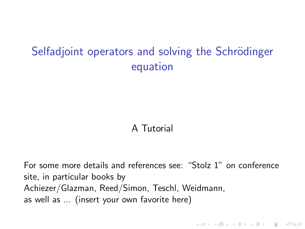# Selfadjoint operators and solving the Schrödinger equation

# A Tutorial

For some more details and references see: "Stolz 1" on conference site, in particular books by Achiezer/Glazman, Reed/Simon, Teschl, Weidmann, as well as ... (insert your own favorite here)

4 D > 4 P + 4 B + 4 B + B + 9 Q O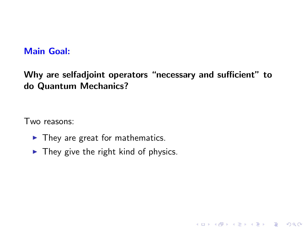### Main Goal:

Why are selfadjoint operators "necessary and sufficient" to do Quantum Mechanics?

**KORK STRATER STRAKER** 

Two reasons:

- $\blacktriangleright$  They are great for mathematics.
- $\blacktriangleright$  They give the right kind of physics.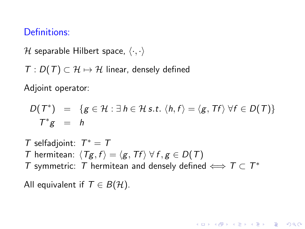## Definitions:

H separable Hilbert space,  $\langle \cdot, \cdot \rangle$ 

 $T: D(T) \subset \mathcal{H} \mapsto \mathcal{H}$  linear, densely defined

Adjoint operator:

$$
D(T^*) = \{ g \in \mathcal{H} : \exists h \in \mathcal{H} s.t. \langle h, f \rangle = \langle g, Tf \rangle \ \forall f \in D(T) \}
$$
  

$$
T^*g = h
$$

**KORK ERKER ADAM ADA** 

 $T$  selfadjoint:  $T^* = T$ T hermitean:  $\langle Tg, f \rangle = \langle g, Tf \rangle \ \forall f, g \in D(T)$ T symmetric: T hermitean and densely defined  $\iff$   $T \subset T^*$ 

All equivalent if  $T \in B(H)$ .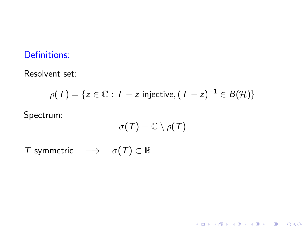# Definitions:

#### Resolvent set:

$$
\rho(T) = \{ z \in \mathbb{C} : T - z \text{ injective}, (T - z)^{-1} \in B(\mathcal{H}) \}
$$

Spectrum:

$$
\sigma(\mathcal{T})=\mathbb{C}\setminus\rho(\mathcal{T})
$$

K ロ ▶ K @ ▶ K 할 ▶ K 할 ▶ | 할 | ⊙Q @

T symmetric  $\implies \sigma(T) \subset \mathbb{R}$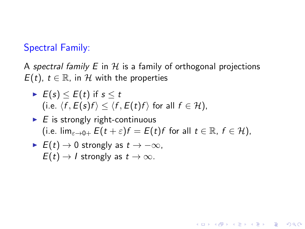# Spectral Family:

A spectral family  $E$  in  $H$  is a family of orthogonal projections  $E(t)$ ,  $t \in \mathbb{R}$ , in H with the properties

► 
$$
E(s) \le E(t)
$$
 if  $s \le t$   
(i.e.  $\langle f, E(s)f \rangle \le \langle f, E(t)f \rangle$  for all  $f \in \mathcal{H}$ ),

\n- $$
E
$$
 is strongly right-continuous
\n- (i.e.  $\lim_{\varepsilon \to 0+} E(t + \varepsilon)f = E(t)f$  for all  $t \in \mathbb{R}$ ,  $f \in \mathcal{H}$ ),
\n

K ロ ▶ K @ ▶ K 할 > K 할 > 1 할 > 1 이익어

$$
\triangleright \ \ E(t) \to 0 \ \text{strongly as} \ t \to -\infty,
$$
  

$$
E(t) \to I \ \text{strongly as} \ t \to \infty.
$$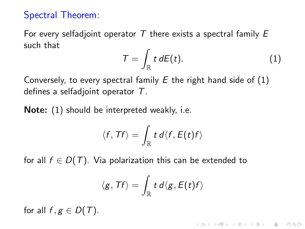# Spectral Theorem:

For every selfadjoint operator T there exists a spectral family  $E$ such that

<span id="page-5-0"></span>
$$
\mathcal{T} = \int_{\mathbb{R}} t \, dE(t). \tag{1}
$$

Conversely, to every spectral family  $E$  the right hand side of  $(1)$ defines a selfadjoint operator T.

Note: [\(1\)](#page-5-0) should be interpreted weakly, i.e.

$$
\langle f, Tf \rangle = \int_{\mathbb{R}} t \, d \langle f, E(t) f \rangle
$$

for all  $f \in D(T)$ . Via polarization this can be extended to

$$
\langle g,\mathit{Tf}\rangle=\int_{\mathbb{R}} t\,d\langle g,\mathit{E}(t)f\rangle
$$

for all  $f, g \in D(T)$ .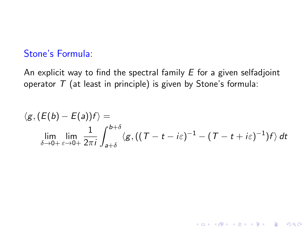# Stone's Formula:

An explicit way to find the spectral family  $E$  for a given selfadjoint operator  $T$  (at least in principle) is given by Stone's formula:

$$
\langle g, (E(b) - E(a))f \rangle =
$$
  
\n
$$
\lim_{\delta \to 0+} \lim_{\varepsilon \to 0+} \frac{1}{2\pi i} \int_{a+\delta}^{b+\delta} \langle g, ((T-t-i\varepsilon)^{-1} - (T-t+i\varepsilon)^{-1})f \rangle dt
$$

K ロ ▶ K @ ▶ K 할 ▶ K 할 ▶ | 할 | © 9 Q @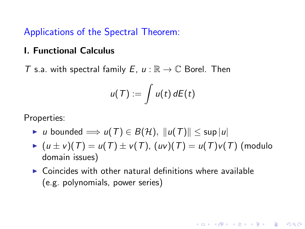Applications of the Spectral Theorem:

#### I. Functional Calculus

T s.a. with spectral family E,  $u : \mathbb{R} \to \mathbb{C}$  Borel. Then

$$
u(T):=\int u(t)\,dE(t)
$$

Properties:

- $\triangleright$  u bounded  $\implies$  u(T)  $\in$  B(H),  $||u(T)|| \leq$  sup  $|u|$
- $(u \pm v)(T) = u(T) \pm v(T)$ ,  $(uv)(T) = u(T)v(T)$  (modulo domain issues)

**KORK ERKER ADAM ADA** 

 $\triangleright$  Coincides with other natural definitions where available (e.g. polynomials, power series)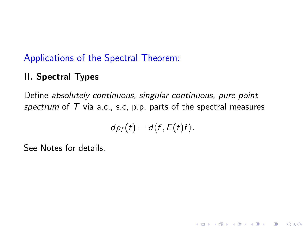# Applications of the Spectral Theorem:

# II. Spectral Types

Define absolutely continuous, singular continuous, pure point spectrum of  $T$  via a.c., s.c. p.p. parts of the spectral measures

$$
d\rho_f(t)=d\langle f,E(t)f\rangle.
$$

**KORK STRATER STRAKER** 

See Notes for details.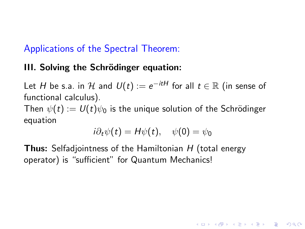# Applications of the Spectral Theorem:

## III. Solving the Schrödinger equation:

Let  $H$  be s.a. in  $\mathcal H$  and  $\mathit{U}(t):=e^{-itH}$  for all  $t\in\mathbb R$  (in sense of functional calculus). Then  $\psi(t) := U(t)\psi_0$  is the unique solution of the Schrödinger equation

$$
i\partial_t \psi(t) = H\psi(t), \quad \psi(0) = \psi_0
$$

4 D > 4 P + 4 B + 4 B + B + 9 Q O

**Thus:** Selfadjointness of the Hamiltonian H (total energy operator) is "sufficient" for Quantum Mechanics!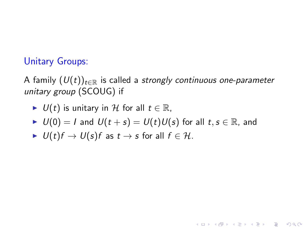# Unitary Groups:

A family  $(U(t))_{t\in\mathbb{R}}$  is called a strongly continuous one-parameter unitary group (SCOUG) if

$$
\blacktriangleright \ U(t) \text{ is unitary in } \mathcal{H} \text{ for all } t \in \mathbb{R},
$$

$$
\blacktriangleright \ U(0) = I \text{ and } U(t+s) = U(t)U(s) \text{ for all } t, s \in \mathbb{R}, \text{ and}
$$

K ロ ▶ K @ ▶ K 할 ▶ K 할 ▶ | 할 | © 9 Q @

$$
\blacktriangleright \ \ U(t)f \to U(s)f \text{ as } t \to s \text{ for all } f \in \mathcal{H}.
$$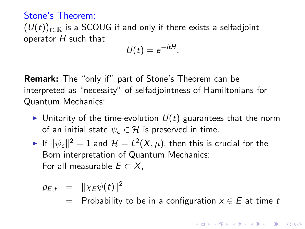# Stone's Theorem:

 $(U(t))_{t\in\mathbb{R}}$  is a SCOUG if and only if there exists a selfadjoint operator  $H$  such that

$$
U(t)=e^{-itH}.
$$

Remark: The "only if" part of Stone's Theorem can be interpreted as "necessity" of selfadjointness of Hamiltonians for Quantum Mechanics:

- Initarity of the time-evolution  $U(t)$  guarantees that the norm of an initial state  $\psi_c \in \mathcal{H}$  is preserved in time.
- $\blacktriangleright$  If  $\|\psi_{\bm c}\|^2=1$  and  $\mathcal{H}=L^2(X,\mu),$  then this is crucial for the Born interpretation of Quantum Mechanics: For all measurable  $E \subset X$ .

$$
p_{E,t} = \|\chi_E \psi(t)\|^2
$$

= Probability to be in a configuration  $x \in E$  at time t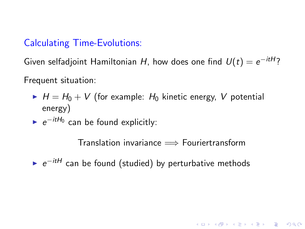# Calculating Time-Evolutions:

Given selfadjoint Hamiltonian H, how does one find  $U(t)=e^{-itH}$ ? Frequent situation:

- $H = H_0 + V$  (for example:  $H_0$  kinetic energy, V potential energy)
- $\blacktriangleright$   $e^{-itH_0}$  can be found explicitly:

Translation invariance  $\implies$  Fouriertransform

4 D > 4 P + 4 B + 4 B + B + 9 Q O

►  $e^{-itH}$  can be found (studied) by perturbative methods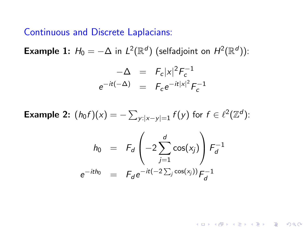#### Continuous and Discrete Laplacians:

**Example 1:**  $H_0 = -\Delta$  in  $L^2(\mathbb{R}^d)$  (selfadjoint on  $H^2(\mathbb{R}^d)$ ):

$$
-\Delta = F_c |x|^2 F_c^{-1}
$$
  

$$
e^{-it(-\Delta)} = F_c e^{-it|x|^2} F_c^{-1}
$$

**Example 2:**  $(h_0 f)(x) = -\sum_{y:|x-y|=1} f(y)$  for  $f \in \ell^2(\mathbb{Z}^d)$ :

$$
h_0 = F_d \left( -2 \sum_{j=1}^d \cos(x_j) \right) F_d^{-1}
$$
  

$$
e^{-ith_0} = F_d e^{-it(-2 \sum_j \cos(x_j))} F_d^{-1}
$$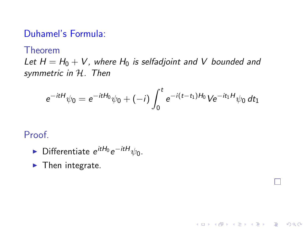### Duhamel's Formula:

Theorem

Let  $H = H_0 + V$ , where  $H_0$  is selfadjoint and V bounded and symmetric in H. Then

$$
e^{-itH}\psi_0 = e^{-itH_0}\psi_0 + (-i)\int_0^t e^{-i(t-t_1)H_0}Ve^{-it_1H}\psi_0 dt_1
$$

K ロ ▶ K @ ▶ K 할 > K 할 > 1 할 > 1 이익어

Proof.

- ► Differentiate  $e^{itH_0}e^{-itH}\psi_0$ .
- $\blacktriangleright$  Then integrate.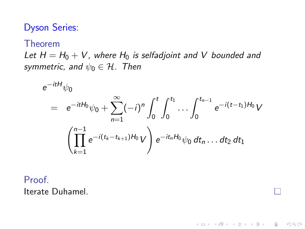# Dyson Series:

#### Theorem

Let  $H = H_0 + V$ , where  $H_0$  is selfadjoint and V bounded and symmetric, and  $\psi_0 \in \mathcal{H}$ . Then

$$
e^{-itH}\psi_0
$$
\n
$$
= e^{-itH_0}\psi_0 + \sum_{n=1}^{\infty} (-i)^n \int_0^t \int_0^{t_1} \cdots \int_0^{t_{n-1}} e^{-i(t-t_1)H_0} V
$$
\n
$$
\left(\prod_{k=1}^{n-1} e^{-i(t_k - t_{k+1})H_0} V\right) e^{-it_nH_0}\psi_0 dt_n \dots dt_2 dt_1
$$

K ロ ▶ K @ ▶ K 할 > K 할 > 1 할 > 1 이익어

Proof. Iterate Duhamel.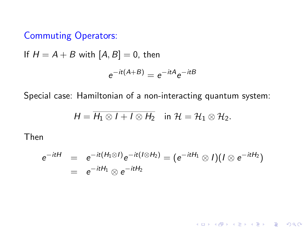# Commuting Operators:

If  $H = A + B$  with  $[A, B] = 0$ , then

$$
e^{-it(A+B)} = e^{-itA}e^{-itB}
$$

Special case: Hamiltonian of a non-interacting quantum system:

$$
H = \overline{H_1 \otimes I + I \otimes H_2} \quad \text{in } \mathcal{H} = \mathcal{H}_1 \otimes \mathcal{H}_2.
$$

Then

$$
e^{-itH} = e^{-it(H_1 \otimes I)}e^{-it(I \otimes H_2)} = (e^{-itH_1} \otimes I)(I \otimes e^{-itH_2})
$$
  
= 
$$
e^{-itH_1} \otimes e^{-itH_2}
$$

K ロ K K (P) K (E) K (E) X (E) X (P) K (P)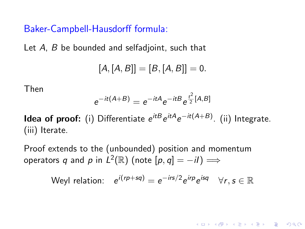Baker-Campbell-Hausdorff formula:

Let A, B be bounded and selfadjoint, such that

$$
[A,[A,B]] = [B,[A,B]] = 0.
$$

Then

$$
e^{-it(A+B)} = e^{-itA}e^{-itB}e^{\frac{t^2}{2}[A,B]}
$$

**Idea of proof:** (i) Differentiate  $e^{itB}e^{itA}e^{-it(A+B)}$ . (ii) Integrate. (iii) Iterate.

Proof extends to the (unbounded) position and momentum operators  $q$  and  $p$  in  $L^2(\mathbb{R})$  (note  $[p,q]=-i\ell)\Longrightarrow$ 

$$
\text{Weyl relation:} \quad e^{i(rp+sq)} = e^{-irs/2} e^{irp} e^{isq} \quad \forall r, s \in \mathbb{R}
$$

**KORKAR KERKER E VOOR**